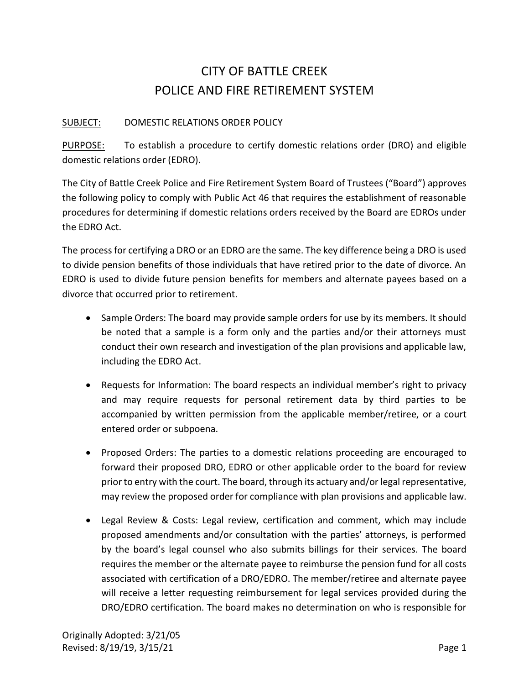## CITY OF BATTLE CREEK POLICE AND FIRE RETIREMENT SYSTEM

## SUBJECT: DOMESTIC RELATIONS ORDER POLICY

PURPOSE: To establish a procedure to certify domestic relations order (DRO) and eligible domestic relations order (EDRO).

The City of Battle Creek Police and Fire Retirement System Board of Trustees ("Board") approves the following policy to comply with Public Act 46 that requires the establishment of reasonable procedures for determining if domestic relations orders received by the Board are EDROs under the EDRO Act.

The process for certifying a DRO or an EDRO are the same. The key difference being a DRO is used to divide pension benefits of those individuals that have retired prior to the date of divorce. An EDRO is used to divide future pension benefits for members and alternate payees based on a divorce that occurred prior to retirement.

- Sample Orders: The board may provide sample orders for use by its members. It should be noted that a sample is a form only and the parties and/or their attorneys must conduct their own research and investigation of the plan provisions and applicable law, including the EDRO Act.
- Requests for Information: The board respects an individual member's right to privacy and may require requests for personal retirement data by third parties to be accompanied by written permission from the applicable member/retiree, or a court entered order or subpoena.
- Proposed Orders: The parties to a domestic relations proceeding are encouraged to forward their proposed DRO, EDRO or other applicable order to the board for review prior to entry with the court. The board, through its actuary and/or legal representative, may review the proposed order for compliance with plan provisions and applicable law.
- Legal Review & Costs: Legal review, certification and comment, which may include proposed amendments and/or consultation with the parties' attorneys, is performed by the board's legal counsel who also submits billings for their services. The board requires the member or the alternate payee to reimburse the pension fund for all costs associated with certification of a DRO/EDRO. The member/retiree and alternate payee will receive a letter requesting reimbursement for legal services provided during the DRO/EDRO certification. The board makes no determination on who is responsible for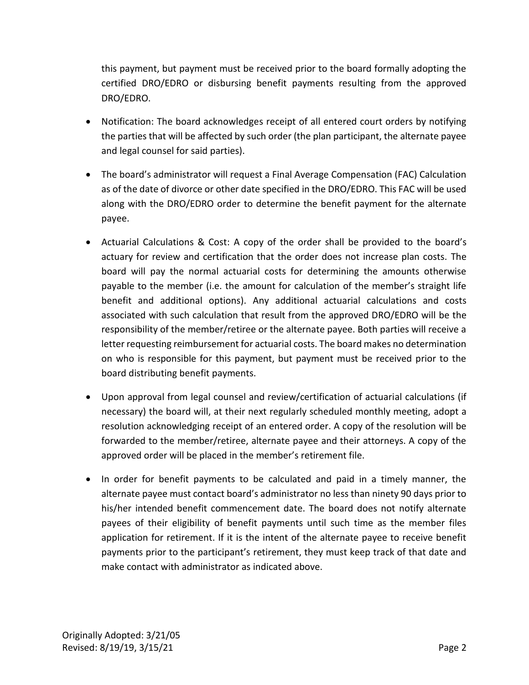this payment, but payment must be received prior to the board formally adopting the certified DRO/EDRO or disbursing benefit payments resulting from the approved DRO/EDRO.

- Notification: The board acknowledges receipt of all entered court orders by notifying the parties that will be affected by such order (the plan participant, the alternate payee and legal counsel for said parties).
- The board's administrator will request a Final Average Compensation (FAC) Calculation as of the date of divorce or other date specified in the DRO/EDRO. This FAC will be used along with the DRO/EDRO order to determine the benefit payment for the alternate payee.
- Actuarial Calculations & Cost: A copy of the order shall be provided to the board's actuary for review and certification that the order does not increase plan costs. The board will pay the normal actuarial costs for determining the amounts otherwise payable to the member (i.e. the amount for calculation of the member's straight life benefit and additional options). Any additional actuarial calculations and costs associated with such calculation that result from the approved DRO/EDRO will be the responsibility of the member/retiree or the alternate payee. Both parties will receive a letter requesting reimbursement for actuarial costs. The board makes no determination on who is responsible for this payment, but payment must be received prior to the board distributing benefit payments.
- Upon approval from legal counsel and review/certification of actuarial calculations (if necessary) the board will, at their next regularly scheduled monthly meeting, adopt a resolution acknowledging receipt of an entered order. A copy of the resolution will be forwarded to the member/retiree, alternate payee and their attorneys. A copy of the approved order will be placed in the member's retirement file.
- In order for benefit payments to be calculated and paid in a timely manner, the alternate payee must contact board's administrator no less than ninety 90 days prior to his/her intended benefit commencement date. The board does not notify alternate payees of their eligibility of benefit payments until such time as the member files application for retirement. If it is the intent of the alternate payee to receive benefit payments prior to the participant's retirement, they must keep track of that date and make contact with administrator as indicated above.